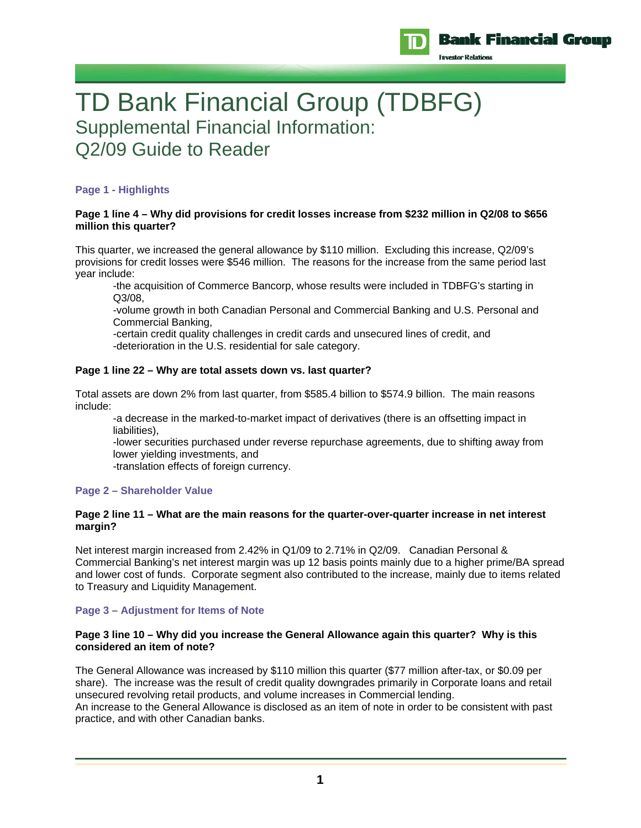

TD Bank Financial Group (TDBFG) Supplemental Financial Information: Q2/09 Guide to Reader

# **Page 1 - Highlights**

### **Page 1 line 4 – Why did provisions for credit losses increase from \$232 million in Q2/08 to \$656 million this quarter?**

This quarter, we increased the general allowance by \$110 million. Excluding this increase, Q2/09's provisions for credit losses were \$546 million. The reasons for the increase from the same period last year include:

-the acquisition of Commerce Bancorp, whose results were included in TDBFG's starting in Q3/08,

-volume growth in both Canadian Personal and Commercial Banking and U.S. Personal and Commercial Banking,

 -certain credit quality challenges in credit cards and unsecured lines of credit, and -deterioration in the U.S. residential for sale category.

## **Page 1 line 22 – Why are total assets down vs. last quarter?**

Total assets are down 2% from last quarter, from \$585.4 billion to \$574.9 billion. The main reasons include:

-a decrease in the marked-to-market impact of derivatives (there is an offsetting impact in liabilities),

-lower securities purchased under reverse repurchase agreements, due to shifting away from lower yielding investments, and

-translation effects of foreign currency.

## **Page 2 – Shareholder Value**

## **Page 2 line 11 – What are the main reasons for the quarter-over-quarter increase in net interest margin?**

Net interest margin increased from 2.42% in Q1/09 to 2.71% in Q2/09. Canadian Personal & Commercial Banking's net interest margin was up 12 basis points mainly due to a higher prime/BA spread and lower cost of funds. Corporate segment also contributed to the increase, mainly due to items related to Treasury and Liquidity Management.

## **Page 3 – Adjustment for Items of Note**

## **Page 3 line 10 – Why did you increase the General Allowance again this quarter? Why is this considered an item of note?**

The General Allowance was increased by \$110 million this quarter (\$77 million after-tax, or \$0.09 per share). The increase was the result of credit quality downgrades primarily in Corporate loans and retail unsecured revolving retail products, and volume increases in Commercial lending. An increase to the General Allowance is disclosed as an item of note in order to be consistent with past practice, and with other Canadian banks.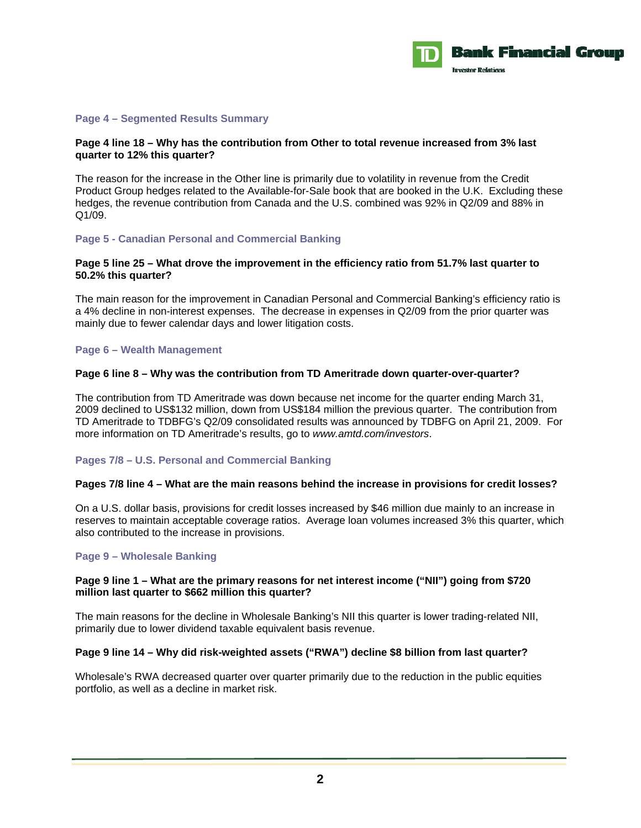

#### **Page 4 – Segmented Results Summary**

### **Page 4 line 18 – Why has the contribution from Other to total revenue increased from 3% last quarter to 12% this quarter?**

The reason for the increase in the Other line is primarily due to volatility in revenue from the Credit Product Group hedges related to the Available-for-Sale book that are booked in the U.K. Excluding these hedges, the revenue contribution from Canada and the U.S. combined was 92% in Q2/09 and 88% in Q1/09.

#### **Page 5 - Canadian Personal and Commercial Banking**

### **Page 5 line 25 – What drove the improvement in the efficiency ratio from 51.7% last quarter to 50.2% this quarter?**

The main reason for the improvement in Canadian Personal and Commercial Banking's efficiency ratio is a 4% decline in non-interest expenses. The decrease in expenses in Q2/09 from the prior quarter was mainly due to fewer calendar days and lower litigation costs.

#### **Page 6 – Wealth Management**

#### **Page 6 line 8 – Why was the contribution from TD Ameritrade down quarter-over-quarter?**

The contribution from TD Ameritrade was down because net income for the quarter ending March 31, 2009 declined to US\$132 million, down from US\$184 million the previous quarter. The contribution from TD Ameritrade to TDBFG's Q2/09 consolidated results was announced by TDBFG on April 21, 2009. For more information on TD Ameritrade's results, go to *www.amtd.com/investors*.

## **Pages 7/8 – U.S. Personal and Commercial Banking**

#### **Pages 7/8 line 4 – What are the main reasons behind the increase in provisions for credit losses?**

On a U.S. dollar basis, provisions for credit losses increased by \$46 million due mainly to an increase in reserves to maintain acceptable coverage ratios. Average loan volumes increased 3% this quarter, which also contributed to the increase in provisions.

#### **Page 9 – Wholesale Banking**

#### **Page 9 line 1 – What are the primary reasons for net interest income ("NII") going from \$720 million last quarter to \$662 million this quarter?**

The main reasons for the decline in Wholesale Banking's NII this quarter is lower trading-related NII, primarily due to lower dividend taxable equivalent basis revenue.

#### **Page 9 line 14 – Why did risk-weighted assets ("RWA") decline \$8 billion from last quarter?**

Wholesale's RWA decreased quarter over quarter primarily due to the reduction in the public equities portfolio, as well as a decline in market risk.